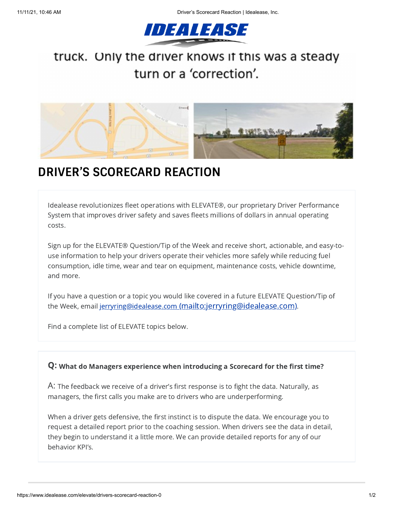

## truck. Only the driver knows if this was a steady turn or a 'correction'.



## **DRIVER'S SCORECARD REACTION**

Idealease revolutionizes fleet operations with ELEVATE®, our proprietary Driver Performance System that improves driver safety and saves fleets millions of dollars in annual operating costs.

Sign up for the ELEVATE® Question/Tip of the Week and receive short, actionable, and easy-touse information to help your drivers operate their vehicles more safely while reducing fuel consumption, idle time, wear and tear on equipment, maintenance costs, vehicle downtime, and more.

If you have a question or a topic you would like covered in a future ELEVATE Question/Tip of the Week, email jerryring@idealease.com [\(mailto:jerryring@idealease.com\)](mailto:jerryring@idealease.com).

Find a complete list of ELEVATE topics below.

## Q: What do Managers experience when introducing a Scorecard for the first time?

A: The feedback we receive of <sup>a</sup> driver's first response is to fight the data. Naturally, as managers, the first calls you make are to drivers who are underperforming.

When a driver gets defensive, the first instinct is to dispute the data. We encourage you to request a detailed report prior to the coaching session. When drivers see the data in detail, they begin to understand it a little more. We can provide detailed reports for any of our behavior KPI's.